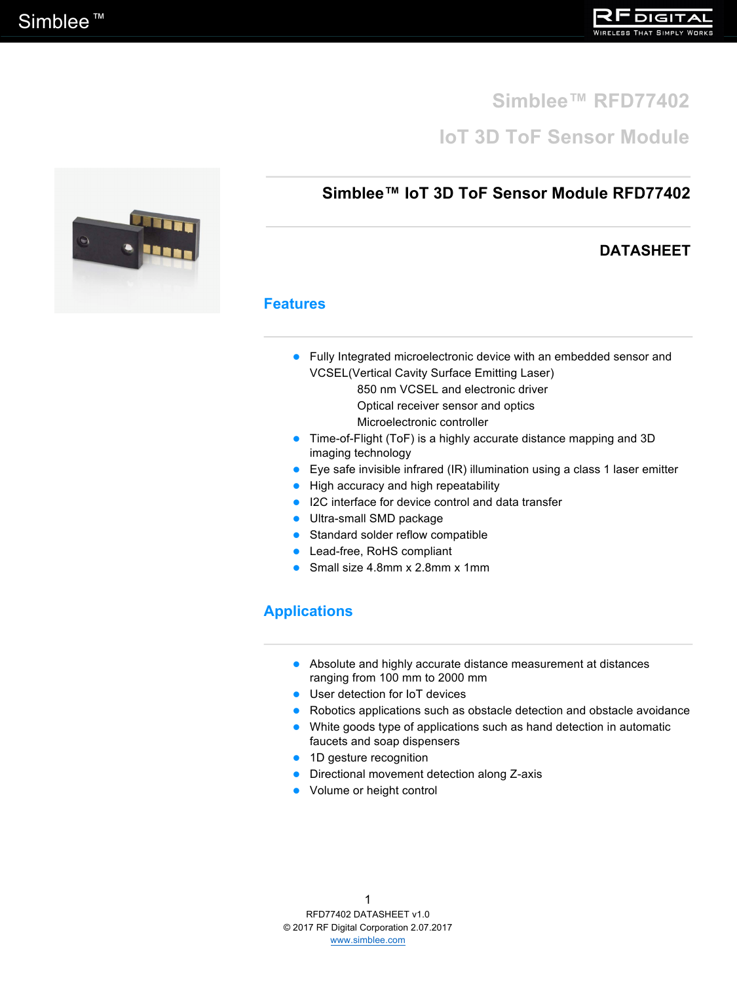# **Simblee™ RFD77402 IoT 3D ToF Sensor Module**



#### **Simblee™ IoT 3D ToF Sensor Module RFD77402**

#### **DATASHEET**

#### **Features**

- Fully Integrated microelectronic device with an embedded sensor and VCSEL(Vertical Cavity Surface Emitting Laser)
	- 850 nm VCSEL and electronic driver
	- Optical receiver sensor and optics
	- Microelectronic controller
- **Time-of-Flight (ToF) is a highly accurate distance mapping and 3D** imaging technology
- **Eye safe invisible infrared (IR) illumination using a class 1 laser emitter**
- **•** High accuracy and high repeatability
- I2C interface for device control and data transfer
- **Ultra-small SMD package**
- $\bullet$  Standard solder reflow compatible
- Lead-free, RoHS compliant
- Small size 4.8mm x 2.8mm x 1mm

#### **Applications**

- Absolute and highly accurate distance measurement at distances ranging from 100 mm to 2000 mm
- **ID User detection for IoT devices**
- Robotics applications such as obstacle detection and obstacle avoidance
- White goods type of applications such as hand detection in automatic faucets and soap dispensers
- 1D gesture recognition
- **•** Directional movement detection along Z-axis
- **•** Volume or height control

1 RFD77402 DATASHEET v1.0 © 2017 RF Digital Corporation 2.07.2017 www.simblee.com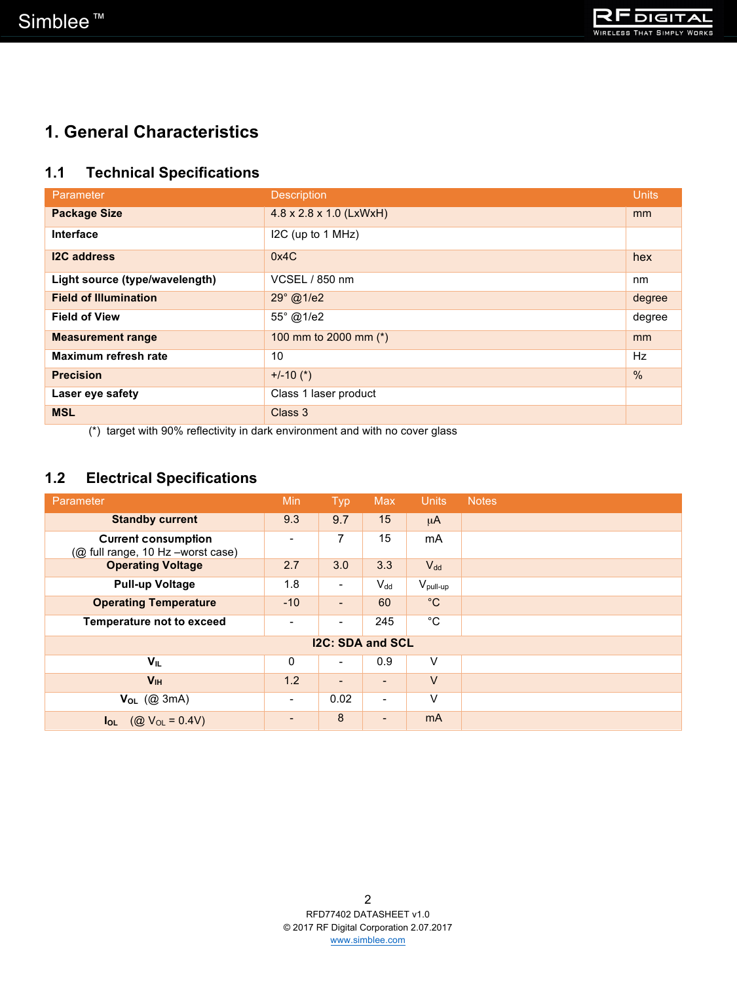

### **1. General Characteristics**

#### **1.1 Technical Specifications**

| Parameter                      | <b>Description</b>      | <b>Units</b>  |
|--------------------------------|-------------------------|---------------|
| <b>Package Size</b>            | 4.8 x 2.8 x 1.0 (LxWxH) | mm            |
| <b>Interface</b>               | I2C (up to 1 MHz)       |               |
| <b>I2C</b> address             | 0x4C                    | hex           |
| Light source (type/wavelength) | <b>VCSEL / 850 nm</b>   | nm            |
| <b>Field of Illumination</b>   | 29° @1/e2               | degree        |
| <b>Field of View</b>           | 55° @1/e2               | degree        |
| <b>Measurement range</b>       | 100 mm to 2000 mm (*)   | mm            |
| Maximum refresh rate           | 10                      | <b>Hz</b>     |
| <b>Precision</b>               | $+/-10$ (*)             | $\frac{0}{0}$ |
| Laser eye safety               | Class 1 laser product   |               |
| <b>MSL</b>                     | Class 3                 |               |

(\*) target with 90% reflectivity in dark environment and with no cover glass

#### **1.2 Electrical Specifications**

| Parameter                                                       | Min                      | <b>Typ</b>               | <b>Max</b>               | <b>Units</b>         | <b>Notes</b> |
|-----------------------------------------------------------------|--------------------------|--------------------------|--------------------------|----------------------|--------------|
| <b>Standby current</b>                                          | 9.3                      | 9.7                      | 15                       | μA                   |              |
| <b>Current consumption</b><br>(@ full range, 10 Hz -worst case) | $\overline{\phantom{a}}$ | 7                        | 15                       | mA                   |              |
| <b>Operating Voltage</b>                                        | 2.7                      | 3.0                      | 3.3                      | $V_{dd}$             |              |
| <b>Pull-up Voltage</b>                                          | 1.8                      | $\overline{\phantom{a}}$ | $V_{dd}$                 | $V_{\text{pull-up}}$ |              |
| <b>Operating Temperature</b>                                    | $-10$                    | $\overline{\phantom{a}}$ | 60                       | $^{\circ}C$          |              |
| <b>Temperature not to exceed</b>                                | $\overline{\phantom{0}}$ | $\overline{\phantom{a}}$ | 245                      | $^{\circ}C$          |              |
| <b>I2C: SDA and SCL</b>                                         |                          |                          |                          |                      |              |
| V <sub>IL</sub>                                                 | $\mathbf{0}$             | $\overline{\phantom{a}}$ | 0.9                      | V                    |              |
| $V_{\text{III}}$                                                | 1.2                      | $\blacksquare$           |                          | $\vee$               |              |
| $V_{OL}$ (@ 3mA)                                                | $\overline{\phantom{a}}$ | 0.02                     | $\blacksquare$           | V                    |              |
| $I_{OL}$ (@ $V_{OL} = 0.4V$ )                                   | $\overline{\phantom{0}}$ | 8                        | $\overline{\phantom{0}}$ | <b>mA</b>            |              |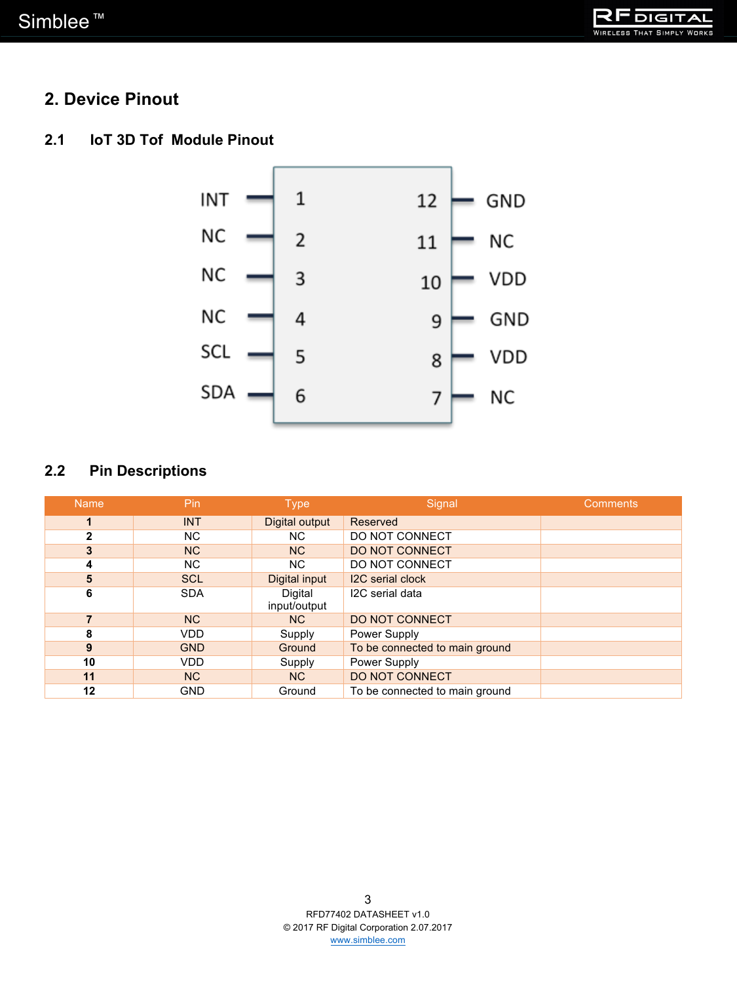

### **2. Device Pinout**

#### **2.1 IoT 3D Tof Module Pinout**



#### **2.2 Pin Descriptions**

| <b>Name</b> | Pin        | <b>Type</b>             | Signal                         | <b>Comments</b> |
|-------------|------------|-------------------------|--------------------------------|-----------------|
|             | <b>INT</b> | Digital output          | Reserved                       |                 |
| 2           | NC.        | NC.                     | DO NOT CONNECT                 |                 |
| 3           | <b>NC</b>  | NC.                     | <b>DO NOT CONNECT</b>          |                 |
| 4           | NC.        | NC.                     | DO NOT CONNECT                 |                 |
| 5           | <b>SCL</b> | Digital input           | <b>I2C</b> serial clock        |                 |
| 6           | <b>SDA</b> | Digital<br>input/output | I2C serial data                |                 |
| 7           | <b>NC</b>  | NC                      | DO NOT CONNECT                 |                 |
| 8           | <b>VDD</b> | Supply                  | Power Supply                   |                 |
| 9           | <b>GND</b> | Ground                  | To be connected to main ground |                 |
| 10          | VDD.       | Supply                  | Power Supply                   |                 |
| 11          | <b>NC</b>  | NC                      | <b>DO NOT CONNECT</b>          |                 |
| 12          | <b>GND</b> | Ground                  | To be connected to main ground |                 |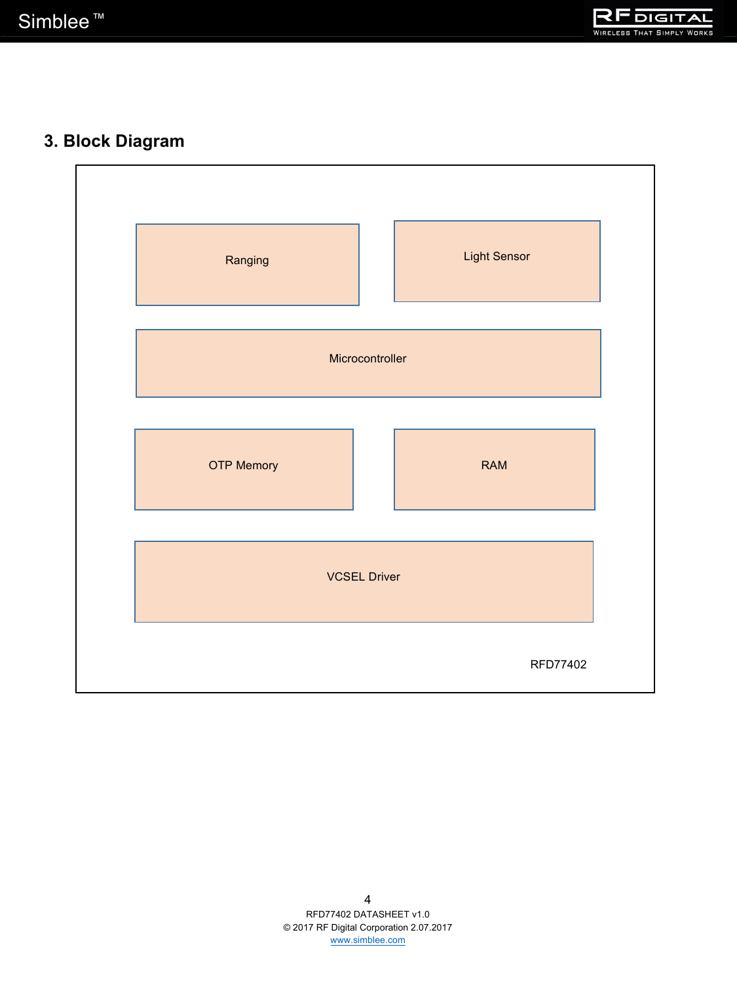

## **3. Block Diagram**

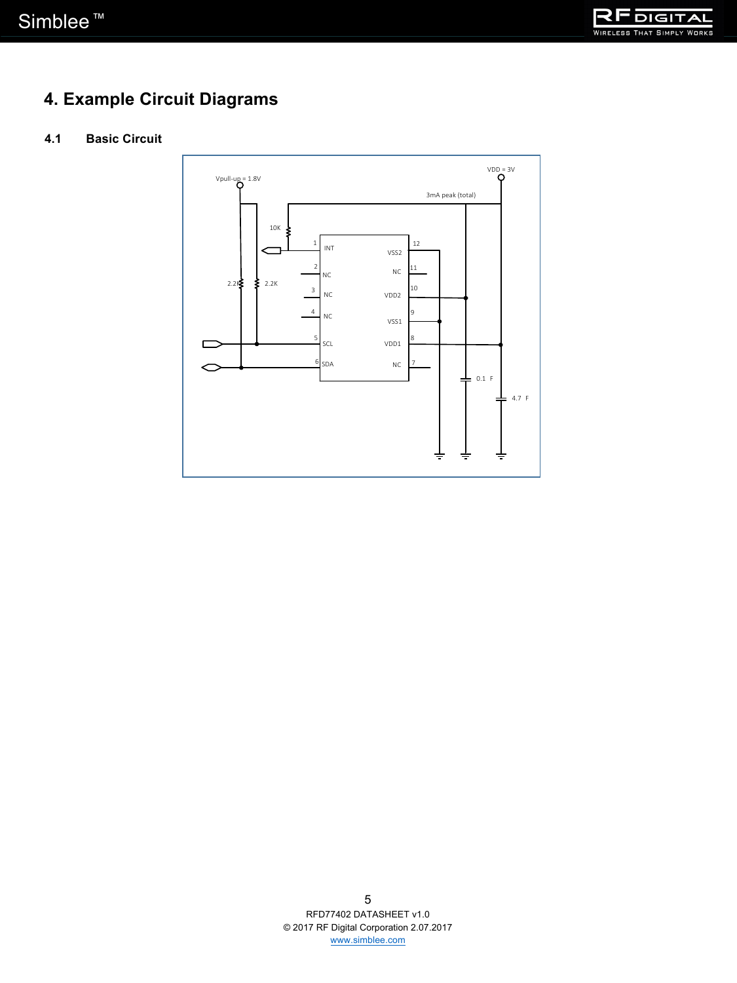

## **4. Example Circuit Diagrams**

#### **4.1 Basic Circuit**

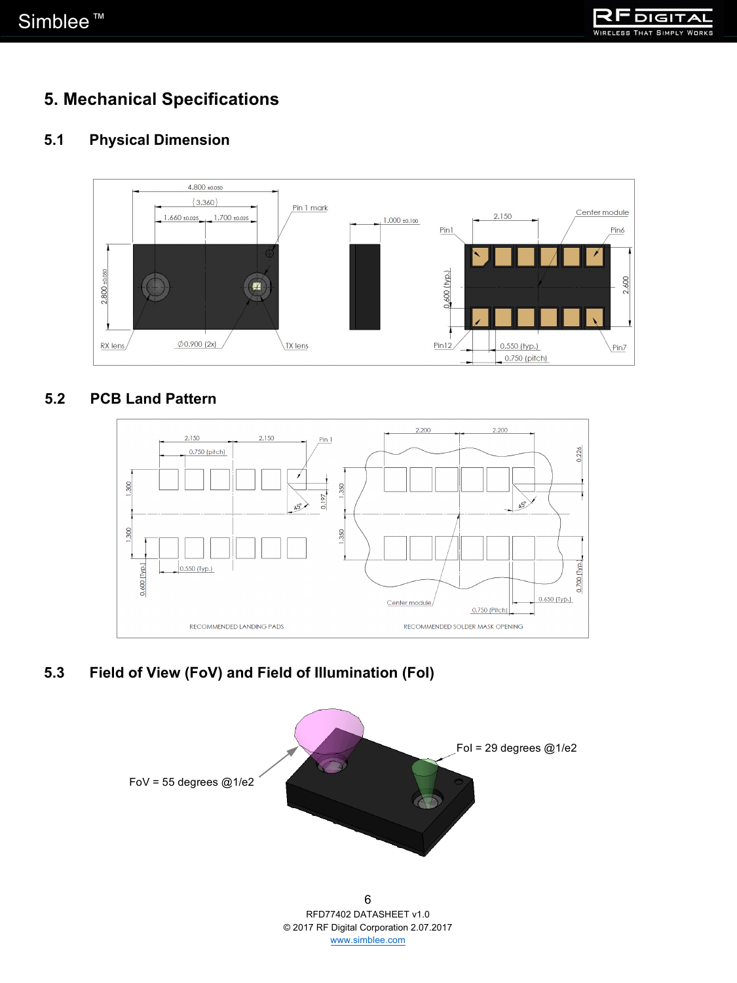

### **5. Mechanical Specifications**

#### **5.1 Physical Dimension**



#### **5.2 PCB Land Pattern**



**5.3 Field of View (FoV) and Field of Illumination (FoI)**



© 2017 RF Digital Corporation 2.07.2017 www.simblee.com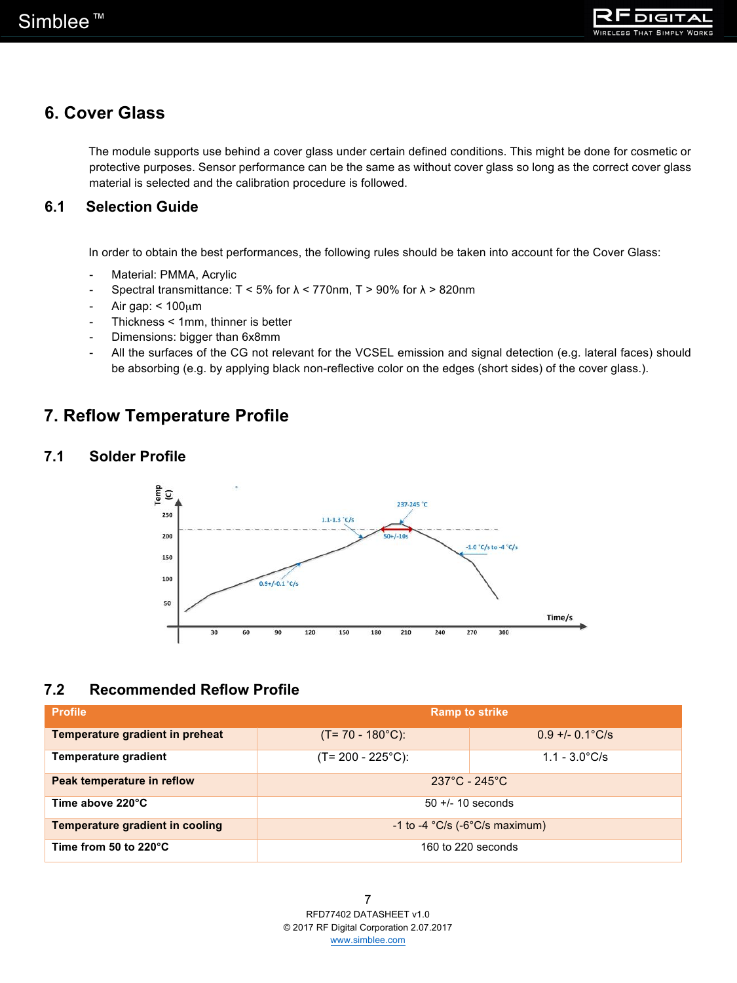

### **6. Cover Glass**

The module supports use behind a cover glass under certain defined conditions. This might be done for cosmetic or protective purposes. Sensor performance can be the same as without cover glass so long as the correct cover glass material is selected and the calibration procedure is followed.

#### **6.1 Selection Guide**

In order to obtain the best performances, the following rules should be taken into account for the Cover Glass:

- Material: PMMA, Acrylic
- Spectral transmittance: T < 5% for  $\lambda$  < 770nm, T > 90% for  $\lambda$  > 820nm
- Air gap:  $< 100 \mu m$
- Thickness < 1mm, thinner is better
- Dimensions: bigger than 6x8mm
- All the surfaces of the CG not relevant for the VCSEL emission and signal detection (e.g. lateral faces) should be absorbing (e.g. by applying black non-reflective color on the edges (short sides) of the cover glass.).

### **7. Reflow Temperature Profile**

#### **7.1 Solder Profile**



#### **7.2 Recommended Reflow Profile**

| <b>Profile</b>                         | <b>Ramp to strike</b>                                   |                    |  |  |
|----------------------------------------|---------------------------------------------------------|--------------------|--|--|
| Temperature gradient in preheat        | $(T = 70 - 180^{\circ}C)$ :                             | $0.9 + - 0.1$ °C/s |  |  |
| Temperature gradient                   | 1.1 - $3.0^{\circ}$ C/s<br>$(T = 200 - 225^{\circ}C)$ : |                    |  |  |
| Peak temperature in reflow             | $237^{\circ}$ C - 245 $^{\circ}$ C                      |                    |  |  |
| Time above 220°C                       | $50 + (-10$ seconds                                     |                    |  |  |
| <b>Temperature gradient in cooling</b> | -1 to -4 $°C/s$ (-6 $°C/s$ maximum)                     |                    |  |  |
| Time from 50 to $220^{\circ}$ C        | 160 to 220 seconds                                      |                    |  |  |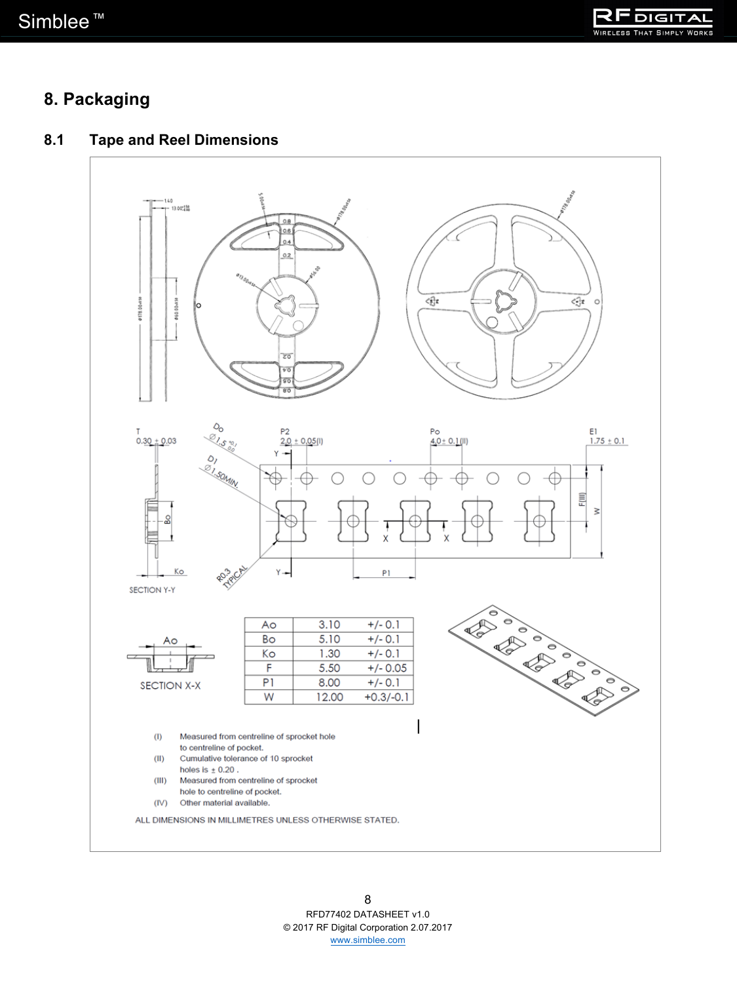

### **8. Packaging**



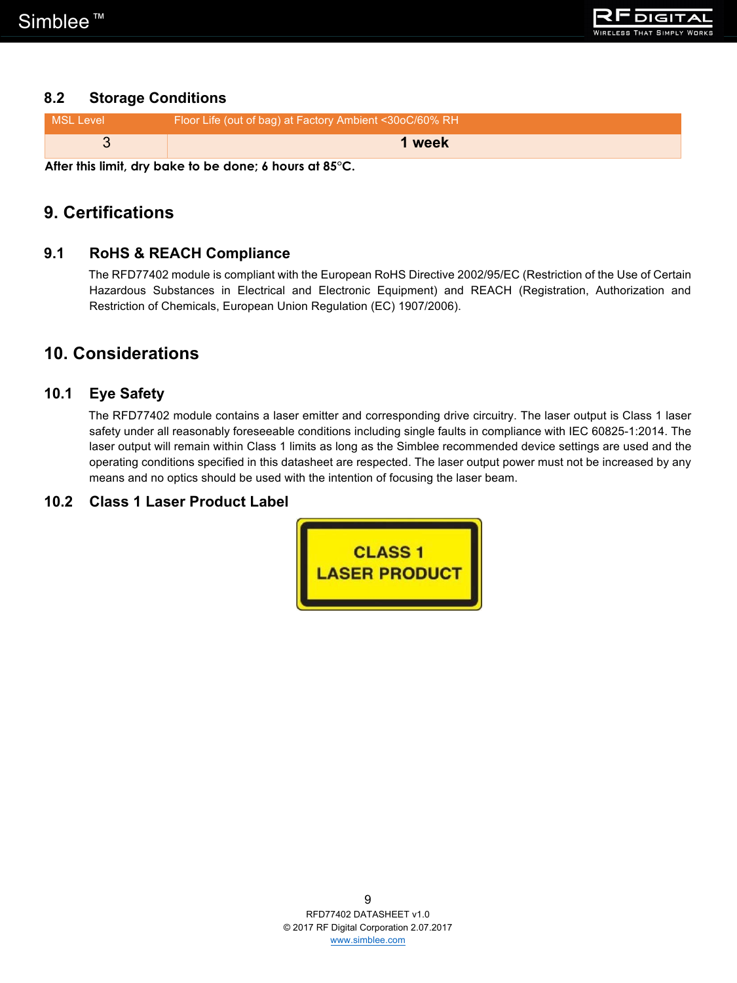

#### **8.2 Storage Conditions**

| MSL Level 1 | Floor Life (out of bag) at Factory Ambient <30oC/60% RH |  |  |
|-------------|---------------------------------------------------------|--|--|
|             | 1 week                                                  |  |  |
|             |                                                         |  |  |

**After this limit, dry bake to be done; 6 hours at 85°C.**

### **9. Certifications**

#### **9.1 RoHS & REACH Compliance**

The RFD77402 module is compliant with the European RoHS Directive 2002/95/EC (Restriction of the Use of Certain Hazardous Substances in Electrical and Electronic Equipment) and REACH (Registration, Authorization and Restriction of Chemicals, European Union Regulation (EC) 1907/2006).

#### **10. Considerations**

#### **10.1 Eye Safety**

The RFD77402 module contains a laser emitter and corresponding drive circuitry. The laser output is Class 1 laser safety under all reasonably foreseeable conditions including single faults in compliance with IEC 60825-1:2014. The laser output will remain within Class 1 limits as long as the Simblee recommended device settings are used and the operating conditions specified in this datasheet are respected. The laser output power must not be increased by any means and no optics should be used with the intention of focusing the laser beam.

#### **10.2 Class 1 Laser Product Label**